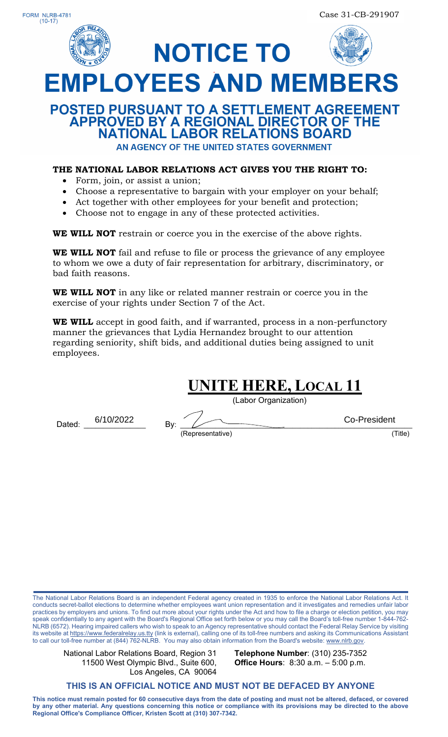



**EMPLOYEES AND MEMBERS** 

**NOTICE TO** 

# **POSTED PURSUANT TO A SETTLEMENT AGREEMENT** APPROVED BY A REGIONAL DIRECTOR OF THE<br>NATIONAL LABOR RELATIONS BOARD

AN AGENCY OF THE UNITED STATES GOVERNMENT

#### **THE NATIONAL LABOR RELATIONS ACT GIVES YOU THE RIGHT TO:**

- Form, join, or assist a union;
- Choose a representative to bargain with your employer on your behalf;
- Act together with other employees for your benefit and protection;
- Choose not to engage in any of these protected activities.

**WE WILL NOT** restrain or coerce you in the exercise of the above rights.

**WE WILL NOT** fail and refuse to file or process the grievance of any employee to whom we owe a duty of fair representation for arbitrary, discriminatory, or bad faith reasons.

**WE WILL NOT** in any like or related manner restrain or coerce you in the exercise of your rights under Section 7 of the Act.

**WE WILL** accept in good faith, and if warranted, process in a non-perfunctory manner the grievances that Lydia Hernandez brought to our attention regarding seniority, shift bids, and additional duties being assigned to unit employees.

### **UNITE HERE, LOCAL 11**

(Labor Organization)

Dated:  $\overline{\phantom{a}}$  Dated:  $\overline{\phantom{a}}$  By:  $\overline{\phantom{a}}$ 6/10/2022

(Representative) (Title)

Co-President

The National Labor Relations Board is an independent Federal agency created in 1935 to enforce the National Labor Relations Act. It conducts secret-ballot elections to determine whether employees want union representation and it investigates and remedies unfair labor practices by employers and unions. To find out more about your rights under the Act and how to file a charge or election petition, you may speak confidentially to any agent with the Board's Regional Office set forth below or you may call the Board's toll-free number 1-844-762- NLRB (6572). Hearing impaired callers who wish to speak to an Agency representative should contact the Federal Relay Service by visiting its website at https://www.federalrelay.us.tty (link is external), calling one of its toll-free numbers and asking its Communications Assistant to call our toll-free number at (844) 762-NLRB. You may also obtain information from the Board's website: www.nlrb.gov.

National Labor Relations Board, Region 31 **Telephone Number**: (310) 235-7352 11500 West Olympic Blvd., Suite 600, **Office Hours**: 8:30 a.m. – 5:00 p.m. Los Angeles, CA 90064

#### **THIS IS AN OFFICIAL NOTICE AND MUST NOT BE DEFACED BY ANYONE**

**This notice must remain posted for 60 consecutive days from the date of posting and must not be altered, defaced, or covered by any other material. Any questions concerning this notice or compliance with its provisions may be directed to the above Regional Office's Compliance Officer, Kristen Scott at (310) 307-7342.**